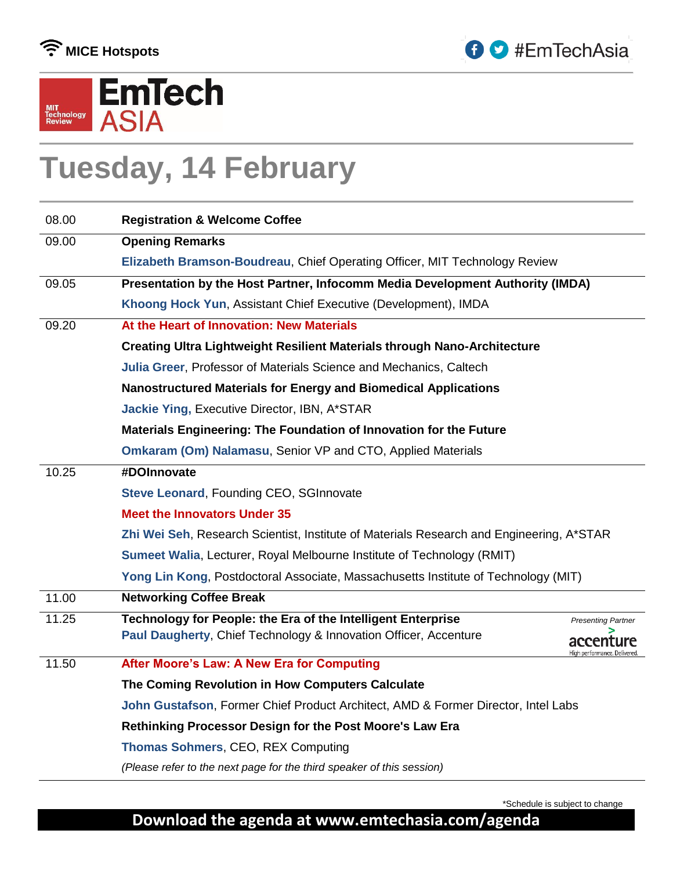





# **Tuesday, 14 February**

| 08.00 | <b>Registration &amp; Welcome Coffee</b>                                                  |
|-------|-------------------------------------------------------------------------------------------|
| 09.00 | <b>Opening Remarks</b>                                                                    |
|       | Elizabeth Bramson-Boudreau, Chief Operating Officer, MIT Technology Review                |
| 09.05 | Presentation by the Host Partner, Infocomm Media Development Authority (IMDA)             |
|       | Khoong Hock Yun, Assistant Chief Executive (Development), IMDA                            |
| 09.20 | At the Heart of Innovation: New Materials                                                 |
|       | Creating Ultra Lightweight Resilient Materials through Nano-Architecture                  |
|       | Julia Greer, Professor of Materials Science and Mechanics, Caltech                        |
|       | Nanostructured Materials for Energy and Biomedical Applications                           |
|       | Jackie Ying, Executive Director, IBN, A*STAR                                              |
|       | Materials Engineering: The Foundation of Innovation for the Future                        |
|       | <b>Omkaram (Om) Nalamasu, Senior VP and CTO, Applied Materials</b>                        |
| 10.25 | #DOInnovate                                                                               |
|       | Steve Leonard, Founding CEO, SGInnovate                                                   |
|       | <b>Meet the Innovators Under 35</b>                                                       |
|       | Zhi Wei Seh, Research Scientist, Institute of Materials Research and Engineering, A*STAR  |
|       | Sumeet Walia, Lecturer, Royal Melbourne Institute of Technology (RMIT)                    |
|       | Yong Lin Kong, Postdoctoral Associate, Massachusetts Institute of Technology (MIT)        |
| 11.00 | <b>Networking Coffee Break</b>                                                            |
| 11.25 | Technology for People: the Era of the Intelligent Enterprise<br><b>Presenting Partner</b> |
|       | Paul Daugherty, Chief Technology & Innovation Officer, Accenture                          |
| 11.50 | After Moore's Law: A New Era for Computing                                                |
|       | The Coming Revolution in How Computers Calculate                                          |
|       | John Gustafson, Former Chief Product Architect, AMD & Former Director, Intel Labs         |
|       | Rethinking Processor Design for the Post Moore's Law Era                                  |
|       | <b>Thomas Sohmers, CEO, REX Computing</b>                                                 |
|       | (Please refer to the next page for the third speaker of this session)                     |
|       |                                                                                           |

\*Schedule is subject to change

#### **Download the agenda at www.emtechasia.com/agenda**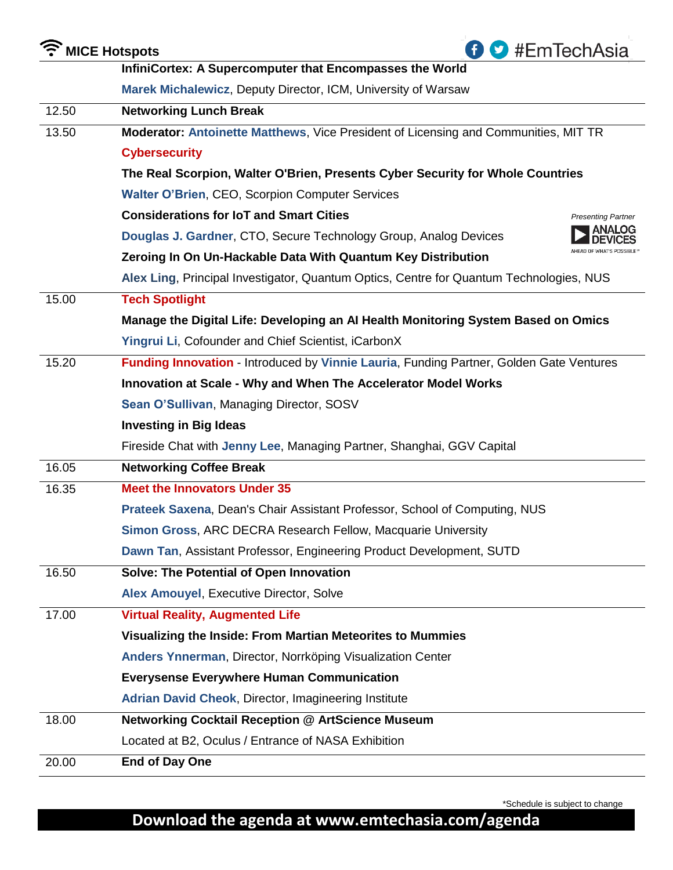| <b>T</b> MICE Hotspots<br>#EmTechAsia |                                                                                         |
|---------------------------------------|-----------------------------------------------------------------------------------------|
|                                       | InfiniCortex: A Supercomputer that Encompasses the World                                |
|                                       | Marek Michalewicz, Deputy Director, ICM, University of Warsaw                           |
| 12.50                                 | <b>Networking Lunch Break</b>                                                           |
| 13.50                                 | Moderator: Antoinette Matthews, Vice President of Licensing and Communities, MIT TR     |
|                                       | <b>Cybersecurity</b>                                                                    |
|                                       | The Real Scorpion, Walter O'Brien, Presents Cyber Security for Whole Countries          |
|                                       | <b>Walter O'Brien, CEO, Scorpion Computer Services</b>                                  |
|                                       | <b>Considerations for IoT and Smart Cities</b><br><b>Presenting Partner</b>             |
|                                       | ANALOG<br>Douglas J. Gardner, CTO, Secure Technology Group, Analog Devices              |
|                                       | Zeroing In On Un-Hackable Data With Quantum Key Distribution                            |
|                                       | Alex Ling, Principal Investigator, Quantum Optics, Centre for Quantum Technologies, NUS |
| 15.00                                 | <b>Tech Spotlight</b>                                                                   |
|                                       | Manage the Digital Life: Developing an AI Health Monitoring System Based on Omics       |
|                                       | Yingrui Li, Cofounder and Chief Scientist, iCarbonX                                     |
| 15.20                                 | Funding Innovation - Introduced by Vinnie Lauria, Funding Partner, Golden Gate Ventures |
|                                       | Innovation at Scale - Why and When The Accelerator Model Works                          |
|                                       | Sean O'Sullivan, Managing Director, SOSV                                                |
|                                       | <b>Investing in Big Ideas</b>                                                           |
|                                       | Fireside Chat with Jenny Lee, Managing Partner, Shanghai, GGV Capital                   |
| 16.05                                 | <b>Networking Coffee Break</b>                                                          |
| 16.35                                 | <b>Meet the Innovators Under 35</b>                                                     |
|                                       | Prateek Saxena, Dean's Chair Assistant Professor, School of Computing, NUS              |
|                                       | Simon Gross, ARC DECRA Research Fellow, Macquarie University                            |
|                                       | Dawn Tan, Assistant Professor, Engineering Product Development, SUTD                    |
| 16.50                                 | Solve: The Potential of Open Innovation                                                 |
|                                       | Alex Amouyel, Executive Director, Solve                                                 |
| 17.00                                 | <b>Virtual Reality, Augmented Life</b>                                                  |
|                                       | Visualizing the Inside: From Martian Meteorites to Mummies                              |
|                                       | Anders Ynnerman, Director, Norrköping Visualization Center                              |
|                                       | <b>Everysense Everywhere Human Communication</b>                                        |
|                                       | <b>Adrian David Cheok, Director, Imagineering Institute</b>                             |
| 18.00                                 | Networking Cocktail Reception @ ArtScience Museum                                       |
|                                       | Located at B2, Oculus / Entrance of NASA Exhibition                                     |
| 20.00                                 | <b>End of Day One</b>                                                                   |

\*Schedule is subject to change

### **Download the agenda at www.emtechasia.com/agenda**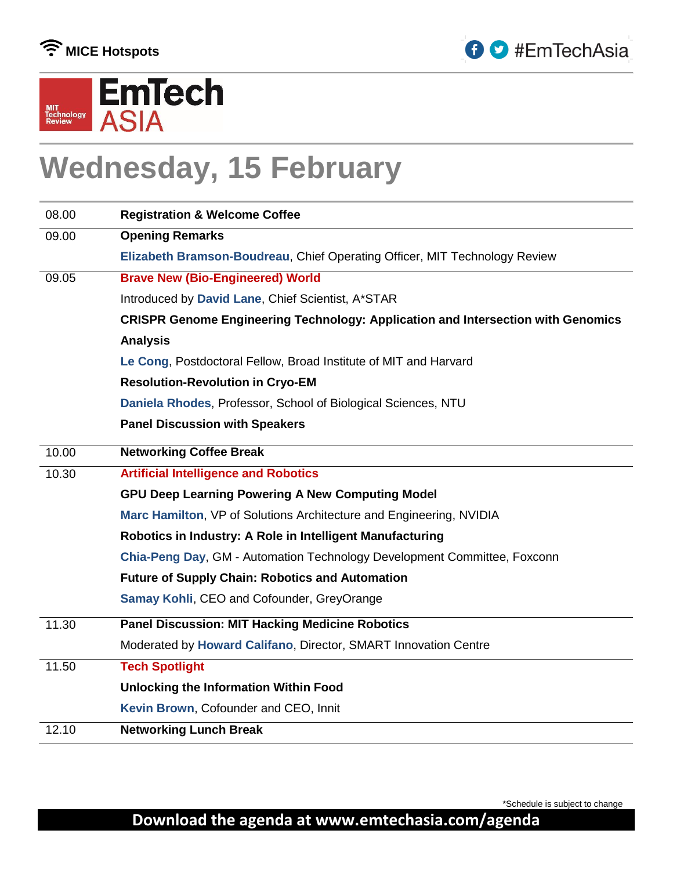





## **Wednesday, 15 February**

| 08.00 | <b>Registration &amp; Welcome Coffee</b>                                                |
|-------|-----------------------------------------------------------------------------------------|
| 09.00 | <b>Opening Remarks</b>                                                                  |
|       | Elizabeth Bramson-Boudreau, Chief Operating Officer, MIT Technology Review              |
| 09.05 | <b>Brave New (Bio-Engineered) World</b>                                                 |
|       | Introduced by David Lane, Chief Scientist, A*STAR                                       |
|       | <b>CRISPR Genome Engineering Technology: Application and Intersection with Genomics</b> |
|       | <b>Analysis</b>                                                                         |
|       | Le Cong, Postdoctoral Fellow, Broad Institute of MIT and Harvard                        |
|       | <b>Resolution-Revolution in Cryo-EM</b>                                                 |
|       | Daniela Rhodes, Professor, School of Biological Sciences, NTU                           |
|       | <b>Panel Discussion with Speakers</b>                                                   |
| 10.00 | <b>Networking Coffee Break</b>                                                          |
| 10.30 | <b>Artificial Intelligence and Robotics</b>                                             |
|       | <b>GPU Deep Learning Powering A New Computing Model</b>                                 |
|       | Marc Hamilton, VP of Solutions Architecture and Engineering, NVIDIA                     |
|       | Robotics in Industry: A Role in Intelligent Manufacturing                               |
|       | Chia-Peng Day, GM - Automation Technology Development Committee, Foxconn                |
|       | <b>Future of Supply Chain: Robotics and Automation</b>                                  |
|       | Samay Kohli, CEO and Cofounder, GreyOrange                                              |
| 11.30 | <b>Panel Discussion: MIT Hacking Medicine Robotics</b>                                  |
|       | Moderated by Howard Califano, Director, SMART Innovation Centre                         |
| 11.50 | <b>Tech Spotlight</b>                                                                   |
|       | <b>Unlocking the Information Within Food</b>                                            |
|       | Kevin Brown, Cofounder and CEO, Innit                                                   |
| 12.10 | <b>Networking Lunch Break</b>                                                           |

\*Schedule is subject to change